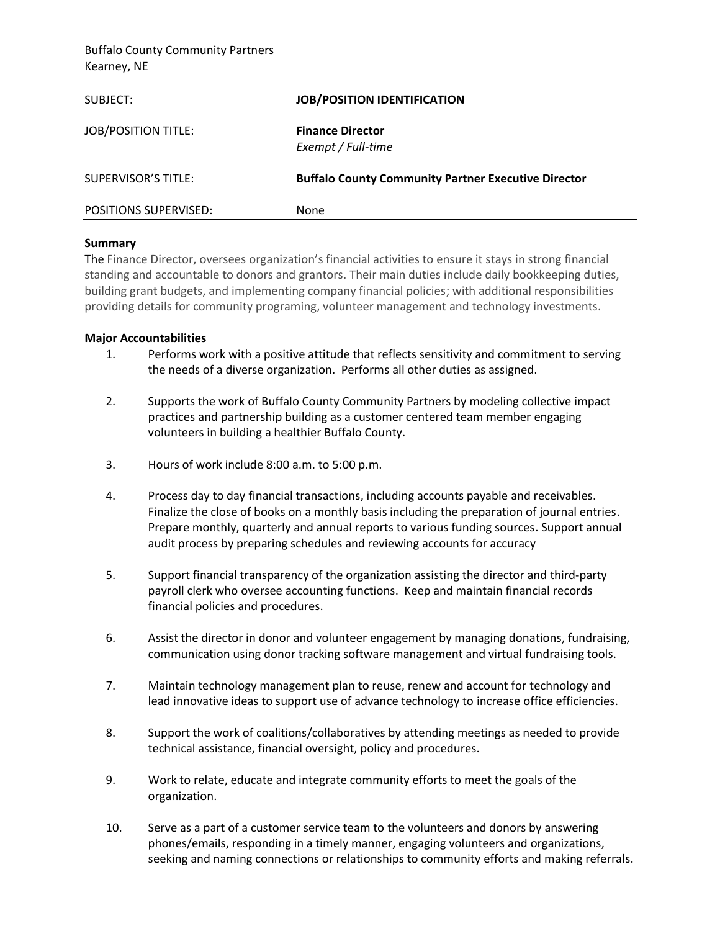| SUBJECT:                     | <b>JOB/POSITION IDENTIFICATION</b>                         |
|------------------------------|------------------------------------------------------------|
| <b>JOB/POSITION TITLE:</b>   | <b>Finance Director</b><br>Exempt / Full-time              |
| <b>SUPERVISOR'S TITLE:</b>   | <b>Buffalo County Community Partner Executive Director</b> |
| <b>POSITIONS SUPERVISED:</b> | None                                                       |

## **Summary**

The Finance Director, oversees organization's financial activities to ensure it stays in strong financial standing and accountable to donors and grantors. Their main duties include daily bookkeeping duties, building grant budgets, and implementing company financial policies; with additional responsibilities providing details for community programing, volunteer management and technology investments.

## **Major Accountabilities**

- 1. Performs work with a positive attitude that reflects sensitivity and commitment to serving the needs of a diverse organization. Performs all other duties as assigned.
- 2. Supports the work of Buffalo County Community Partners by modeling collective impact practices and partnership building as a customer centered team member engaging volunteers in building a healthier Buffalo County.
- 3. Hours of work include 8:00 a.m. to 5:00 p.m.
- 4. Process day to day financial transactions, including accounts payable and receivables. Finalize the close of books on a monthly basis including the preparation of journal entries. Prepare monthly, quarterly and annual reports to various funding sources. Support annual audit process by preparing schedules and reviewing accounts for accuracy
- 5. Support financial transparency of the organization assisting the director and third-party payroll clerk who oversee accounting functions. Keep and maintain financial records financial policies and procedures.
- 6. Assist the director in donor and volunteer engagement by managing donations, fundraising, communication using donor tracking software management and virtual fundraising tools.
- 7. Maintain technology management plan to reuse, renew and account for technology and lead innovative ideas to support use of advance technology to increase office efficiencies.
- 8. Support the work of coalitions/collaboratives by attending meetings as needed to provide technical assistance, financial oversight, policy and procedures.
- 9. Work to relate, educate and integrate community efforts to meet the goals of the organization.
- 10. Serve as a part of a customer service team to the volunteers and donors by answering phones/emails, responding in a timely manner, engaging volunteers and organizations, seeking and naming connections or relationships to community efforts and making referrals.